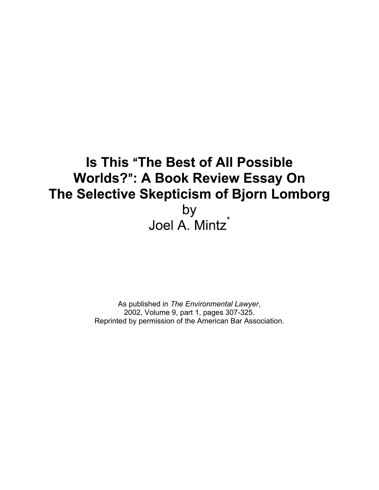# **Is This "The Best of All Possible Worlds?": A Book Review Essay On** The Selective Skepticism of Bjorn Lomborg by Joel A. Mintz\*

As published in *The Environmental Lawyer*, 2002, Volume 9, part 1, pages 307-325. Reprinted by permission of the American Bar Association.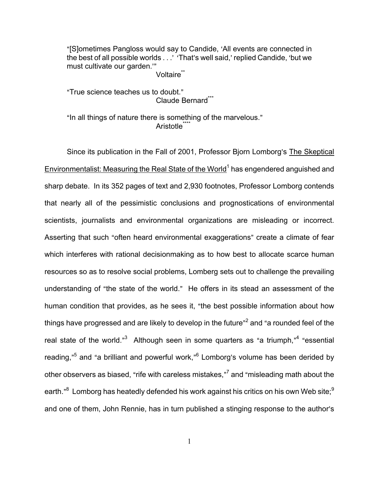"[S]ometimes Pangloss would say to Candide, 'All events are connected in the best of all possible worlds . . . ' 'That's well said,' replied Candide, 'but we must cultivate our garden."

Voltaire<sup>\*\*</sup>

"True science teaches us to doubt." Claude Bernard\*\*\*

"In all things of nature there is something of the marvelous." Aristotle<sup>\*\*</sup>

Since its publication in the Fall of 2001, Professor Bjorn Lomborg's The Skeptical Environmentalist: Measuring the Real State of the World<sup>1</sup> has engendered anguished and sharp debate. In its 352 pages of text and 2,930 footnotes, Professor Lomborg contends that nearly all of the pessimistic conclusions and prognostications of environmental scientists, journalists and environmental organizations are misleading or incorrect. Asserting that such "often heard environmental exaggerations" create a climate of fear which interferes with rational decisionmaking as to how best to allocate scarce human resources so as to resolve social problems, Lomberg sets out to challenge the prevailing understanding of "the state of the world." He offers in its stead an assessment of the human condition that provides, as he sees it, "the best possible information about how things have progressed and are likely to develop in the future"<sup>2</sup> and "a rounded feel of the real state of the world."<sup>3</sup> Although seen in some quarters as "a triumph,"<sup>4</sup> "essential reading,"<sup>5</sup> and "a brilliant and powerful work,"<sup>6</sup> Lomborg's volume has been derided by other observers as biased, "rife with careless mistakes," $\rm ^7$  and "misleading math about the earth." $^8$  Lomborg has heatedly defended his work against his critics on his own Web site; $^9$ and one of them, John Rennie, has in turn published a stinging response to the author's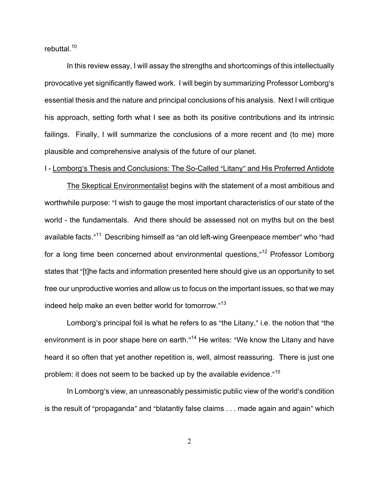rebuttal.<sup>10</sup>

In this review essay, I will assay the strengths and shortcomings of this intellectually provocative yet significantly flawed work. I will begin by summarizing Professor Lomborg's essential thesis and the nature and principal conclusions of his analysis. Next I will critique his approach, setting forth what I see as both its positive contributions and its intrinsic failings. Finally, I will summarize the conclusions of a more recent and (to me) more plausible and comprehensive analysis of the future of our planet.

#### I - Lomborg's Thesis and Conclusions: The So-Called "Litany" and His Proferred Antidote

The Skeptical Environmentalist begins with the statement of a most ambitious and worthwhile purpose: "I wish to gauge the most important characteristics of our state of the world - the fundamentals. And there should be assessed not on myths but on the best available facts."<sup>11</sup> Describing himself as "an old left-wing Greenpeace member" who "had for a long time been concerned about environmental questions,"<sup>12</sup> Professor Lomborg states that "[t]he facts and information presented here should give us an opportunity to set free our unproductive worries and allow us to focus on the important issues, so that we may indeed help make an even better world for tomorrow." $^{13}$ 

Lomborg's principal foil is what he refers to as "the Litany," i.e. the notion that "the environment is in poor shape here on earth."<sup>14</sup> He writes: "We know the Litany and have heard it so often that yet another repetition is, well, almost reassuring. There is just one problem: it does not seem to be backed up by the available evidence."<sup>15</sup>

In Lomborg's view, an unreasonably pessimistic public view of the world's condition is the result of "propaganda" and "blatantly false claims . . . made again and again" which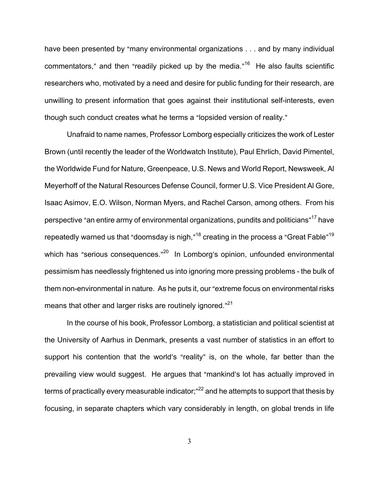have been presented by "many environmental organizations . . . and by many individual commentators," and then "readily picked up by the media."<sup>16</sup> He also faults scientific researchers who, motivated by a need and desire for public funding for their research, are unwilling to present information that goes against their institutional self-interests, even though such conduct creates what he terms a "lopsided version of reality."

Unafraid to name names, Professor Lomborg especially criticizes the work of Lester Brown (until recently the leader of the Worldwatch Institute), Paul Ehrlich, David Pimentel, the Worldwide Fund for Nature, Greenpeace, U.S. News and World Report, Newsweek, Al Meyerhoff of the Natural Resources Defense Council, former U.S. Vice President Al Gore, Isaac Asimov, E.O. Wilson, Norman Myers, and Rachel Carson, among others. From his perspective "an entire army of environmental organizations, pundits and politicians"<sup>17</sup> have repeatedly warned us that "doomsday is nigh,"<sup>18</sup> creating in the process a "Great Fable"<sup>19</sup> which has "serious consequences."<sup>20</sup> In Lomborg's opinion, unfounded environmental pessimism has needlessly frightened us into ignoring more pressing problems - the bulk of them non-environmental in nature. As he puts it, our "extreme focus on environmental risks means that other and larger risks are routinely ignored."<sup>21</sup>

In the course of his book, Professor Lomborg, a statistician and political scientist at the University of Aarhus in Denmark, presents a vast number of statistics in an effort to support his contention that the world's "reality" is, on the whole, far better than the prevailing view would suggest. He argues that "mankind's lot has actually improved in terms of practically every measurable indicator;"<sup>22</sup> and he attempts to support that thesis by focusing, in separate chapters which vary considerably in length, on global trends in life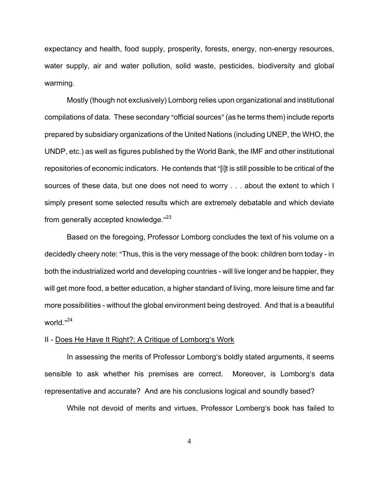expectancy and health, food supply, prosperity, forests, energy, non-energy resources, water supply, air and water pollution, solid waste, pesticides, biodiversity and global warming.

Mostly (though not exclusively) Lomborg relies upon organizational and institutional compilations of data. These secondary "official sources" (as he terms them) include reports prepared by subsidiary organizations of the United Nations (including UNEP, the WHO, the UNDP, etc.) as well as figures published by the World Bank, the IMF and other institutional repositories of economic indicators. He contends that "[i]t is still possible to be critical of the sources of these data, but one does not need to worry . . . about the extent to which I simply present some selected results which are extremely debatable and which deviate from generally accepted knowledge."<sup>23</sup>

Based on the foregoing, Professor Lomborg concludes the text of his volume on a decidedly cheery note: "Thus, this is the very message of the book: children born today - in both the industrialized world and developing countries - will live longer and be happier, they will get more food, a better education, a higher standard of living, more leisure time and far more possibilities - without the global environment being destroyed. And that is a beautiful world."<sup>24</sup>

#### II - Does He Have It Right?: A Critique of Lomborg's Work

In assessing the merits of Professor Lomborg's boldly stated arguments, it seems sensible to ask whether his premises are correct. Moreover, is Lomborg's data representative and accurate? And are his conclusions logical and soundly based?

While not devoid of merits and virtues, Professor Lomberg's book has failed to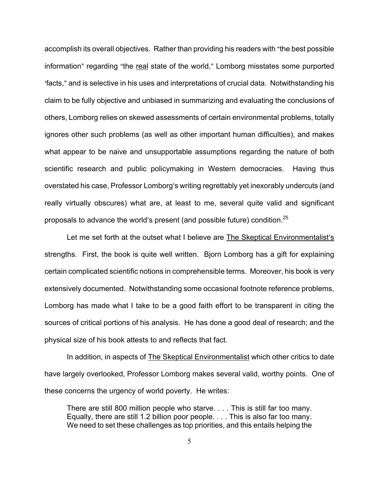accomplish its overall objectives. Rather than providing his readers with "the best possible" information" regarding "the real state of the world," Lomborg misstates some purported facts," and is selective in his uses and interpretations of crucial data. Notwithstanding his claim to be fully objective and unbiased in summarizing and evaluating the conclusions of others, Lomborg relies on skewed assessments of certain environmental problems, totally ignores other such problems (as well as other important human difficulties), and makes what appear to be naive and unsupportable assumptions regarding the nature of both scientific research and public policymaking in Western democracies. Having thus overstated his case, Professor Lomborg's writing regrettably yet inexorably undercuts (and really virtually obscures) what are, at least to me, several quite valid and significant proposals to advance the world's present (and possible future) condition.<sup>25</sup>

Let me set forth at the outset what I believe are The Skeptical Environmentalist's strengths. First, the book is quite well written. Bjorn Lomborg has a gift for explaining certain complicated scientific notions in comprehensible terms. Moreover, his book is very extensively documented. Notwithstanding some occasional footnote reference problems, Lomborg has made what I take to be a good faith effort to be transparent in citing the sources of critical portions of his analysis. He has done a good deal of research; and the physical size of his book attests to and reflects that fact.

In addition, in aspects of **The Skeptical Environmentalist** which other critics to date have largely overlooked, Professor Lomborg makes several valid, worthy points. One of these concerns the urgency of world poverty. He writes:

There are still 800 million people who starve. . . . This is still far too many. Equally, there are still 1.2 billion poor people. . . . This is also far too many. We need to set these challenges as top priorities, and this entails helping the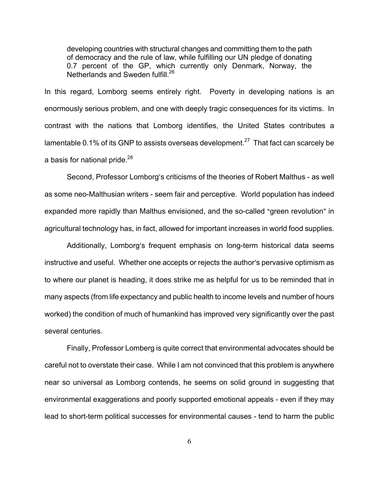developing countries with structural changes and committing them to the path of democracy and the rule of law, while fulfilling our UN pledge of donating 0.7 percent of the GP, which currently only Denmark, Norway, the Netherlands and Sweden fulfill.<sup>26</sup>

In this regard, Lomborg seems entirely right. Poverty in developing nations is an enormously serious problem, and one with deeply tragic consequences for its victims. In contrast with the nations that Lomborg identifies, the United States contributes a lamentable 0.1% of its GNP to assists overseas development.<sup>27</sup> That fact can scarcely be a basis for national pride.<sup>28</sup>

Second, Professor Lomborg's criticisms of the theories of Robert Malthus - as well as some neo-Malthusian writers - seem fair and perceptive. World population has indeed expanded more rapidly than Malthus envisioned, and the so-called "green revolution" in agricultural technology has, in fact, allowed for important increases in world food supplies.

Additionally, Lomborg's frequent emphasis on long-term historical data seems instructive and useful. Whether one accepts or rejects the author's pervasive optimism as to where our planet is heading, it does strike me as helpful for us to be reminded that in many aspects (from life expectancy and public health to income levels and number of hours worked) the condition of much of humankind has improved very significantly over the past several centuries.

Finally, Professor Lomberg is quite correct that environmental advocates should be careful not to overstate their case. While I am not convinced that this problem is anywhere near so universal as Lomborg contends, he seems on solid ground in suggesting that environmental exaggerations and poorly supported emotional appeals - even if they may lead to short-term political successes for environmental causes - tend to harm the public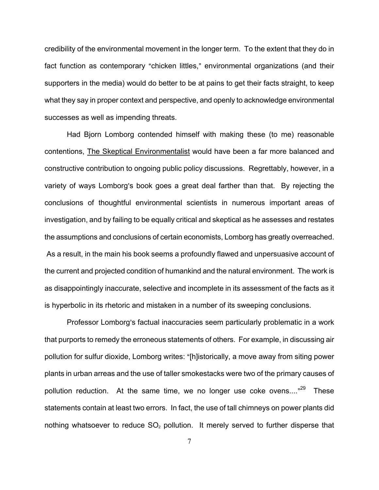credibility of the environmental movement in the longer term. To the extent that they do in fact function as contemporary "chicken littles," environmental organizations (and their supporters in the media) would do better to be at pains to get their facts straight, to keep what they say in proper context and perspective, and openly to acknowledge environmental successes as well as impending threats.

Had Bjorn Lomborg contended himself with making these (to me) reasonable contentions, The Skeptical Environmentalist would have been a far more balanced and constructive contribution to ongoing public policy discussions. Regrettably, however, in a variety of ways Lomborg's book goes a great deal farther than that. By rejecting the conclusions of thoughtful environmental scientists in numerous important areas of investigation, and by failing to be equally critical and skeptical as he assesses and restates the assumptions and conclusions of certain economists, Lomborg has greatly overreached. As a result, in the main his book seems a profoundly flawed and unpersuasive account of the current and projected condition of humankind and the natural environment. The work is as disappointingly inaccurate, selective and incomplete in its assessment of the facts as it is hyperbolic in its rhetoric and mistaken in a number of its sweeping conclusions.

Professor Lomborg's factual inaccuracies seem particularly problematic in a work that purports to remedy the erroneous statements of others. For example, in discussing air pollution for sulfur dioxide, Lomborg writes: "[h]istorically, a move away from siting power plants in urban arreas and the use of taller smokestacks were two of the primary causes of pollution reduction. At the same time, we no longer use coke ovens...."<sup>29</sup> These statements contain at least two errors. In fact, the use of tall chimneys on power plants did nothing whatsoever to reduce  $SO<sub>2</sub>$  pollution. It merely served to further disperse that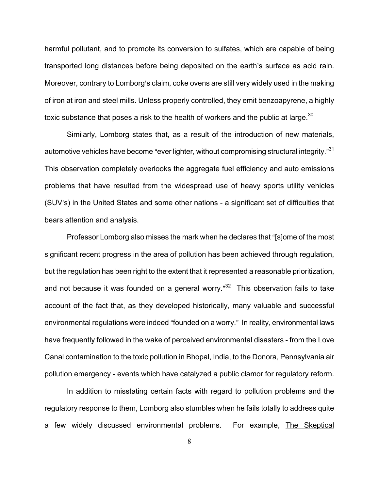harmful pollutant, and to promote its conversion to sulfates, which are capable of being transported long distances before being deposited on the earth's surface as acid rain. Moreover, contrary to Lomborg's claim, coke ovens are still very widely used in the making of iron at iron and steel mills. Unless properly controlled, they emit benzoapyrene, a highly toxic substance that poses a risk to the health of workers and the public at large.<sup>30</sup>

Similarly, Lomborg states that, as a result of the introduction of new materials, automotive vehicles have become "ever lighter, without compromising structural integrity."<sup>31</sup> This observation completely overlooks the aggregate fuel efficiency and auto emissions problems that have resulted from the widespread use of heavy sports utility vehicles (SUV's) in the United States and some other nations - a significant set of difficulties that bears attention and analysis.

Professor Lomborg also misses the mark when he declares that "[s]ome of the most significant recent progress in the area of pollution has been achieved through regulation, but the regulation has been right to the extent that it represented a reasonable prioritization, and not because it was founded on a general worry." $32$  This observation fails to take account of the fact that, as they developed historically, many valuable and successful environmental regulations were indeed "founded on a worry." In reality, environmental laws have frequently followed in the wake of perceived environmental disasters - from the Love Canal contamination to the toxic pollution in Bhopal, India, to the Donora, Pennsylvania air pollution emergency - events which have catalyzed a public clamor for regulatory reform.

In addition to misstating certain facts with regard to pollution problems and the regulatory response to them, Lomborg also stumbles when he fails totally to address quite a few widely discussed environmental problems. For example, The Skeptical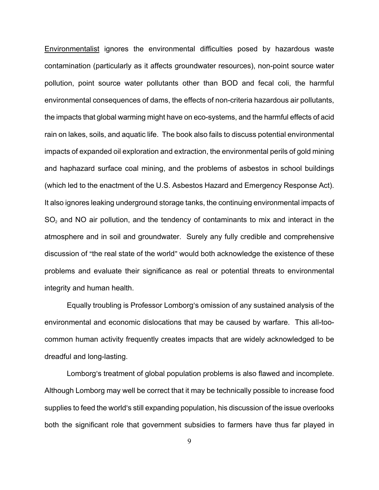Environmentalist ignores the environmental difficulties posed by hazardous waste contamination (particularly as it affects groundwater resources), non-point source water pollution, point source water pollutants other than BOD and fecal coli, the harmful environmental consequences of dams, the effects of non-criteria hazardous air pollutants, the impacts that global warming might have on eco-systems, and the harmful effects of acid rain on lakes, soils, and aquatic life. The book also fails to discuss potential environmental impacts of expanded oil exploration and extraction, the environmental perils of gold mining and haphazard surface coal mining, and the problems of asbestos in school buildings (which led to the enactment of the U.S. Asbestos Hazard and Emergency Response Act). It also ignores leaking underground storage tanks, the continuing environmental impacts of  $SO<sub>2</sub>$  and NO air pollution, and the tendency of contaminants to mix and interact in the atmosphere and in soil and groundwater. Surely any fully credible and comprehensive discussion of "the real state of the world" would both acknowledge the existence of these problems and evaluate their significance as real or potential threats to environmental integrity and human health.

Equally troubling is Professor Lomborg's omission of any sustained analysis of the environmental and economic dislocations that may be caused by warfare. This all-toocommon human activity frequently creates impacts that are widely acknowledged to be dreadful and long-lasting.

Lomborg's treatment of global population problems is also flawed and incomplete. Although Lomborg may well be correct that it may be technically possible to increase food supplies to feed the world's still expanding population, his discussion of the issue overlooks both the significant role that government subsidies to farmers have thus far played in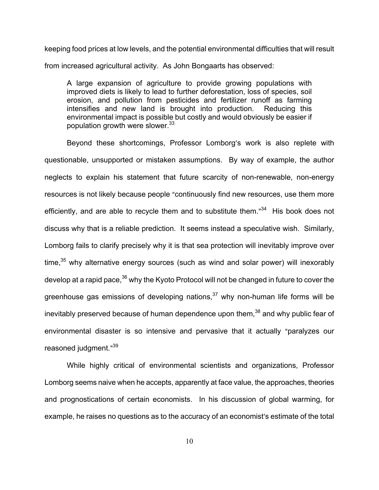keeping food prices at low levels, and the potential environmental difficulties that will result from increased agricultural activity. As John Bongaarts has observed:

A large expansion of agriculture to provide growing populations with improved diets is likely to lead to further deforestation, loss of species, soil erosion, and pollution from pesticides and fertilizer runoff as farming intensifies and new land is brought into production. Reducing this environmental impact is possible but costly and would obviously be easier if population growth were slower.<sup>33</sup>

Beyond these shortcomings, Professor Lomborg's work is also replete with questionable, unsupported or mistaken assumptions. By way of example, the author neglects to explain his statement that future scarcity of non-renewable, non-energy resources is not likely because people "continuously find new resources, use them more efficiently, and are able to recycle them and to substitute them."<sup>34</sup> His book does not discuss why that is a reliable prediction. It seems instead a speculative wish. Similarly, Lomborg fails to clarify precisely why it is that sea protection will inevitably improve over time, $35$  why alternative energy sources (such as wind and solar power) will inexorably develop at a rapid pace,<sup>36</sup> why the Kyoto Protocol will not be changed in future to cover the greenhouse gas emissions of developing nations, $37$  why non-human life forms will be inevitably preserved because of human dependence upon them, $38$  and why public fear of environmental disaster is so intensive and pervasive that it actually "paralyzes our reasoned judgment."<sup>39</sup>

While highly critical of environmental scientists and organizations, Professor Lomborg seems naive when he accepts, apparently at face value, the approaches, theories and prognostications of certain economists. In his discussion of global warming, for example, he raises no questions as to the accuracy of an economist's estimate of the total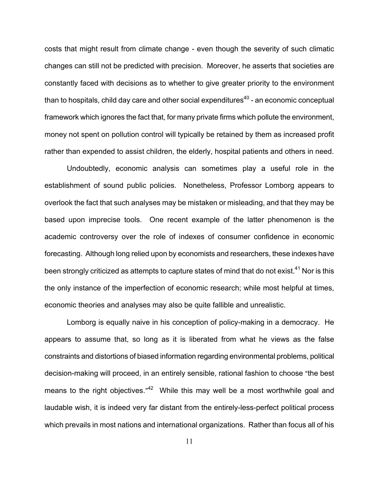costs that might result from climate change - even though the severity of such climatic changes can still not be predicted with precision. Moreover, he asserts that societies are constantly faced with decisions as to whether to give greater priority to the environment than to hospitals, child day care and other social expenditures $^{\rm 40}$  - an economic conceptual framework which ignores the fact that, for many private firms which pollute the environment, money not spent on pollution control will typically be retained by them as increased profit rather than expended to assist children, the elderly, hospital patients and others in need.

Undoubtedly, economic analysis can sometimes play a useful role in the establishment of sound public policies. Nonetheless, Professor Lomborg appears to overlook the fact that such analyses may be mistaken or misleading, and that they may be based upon imprecise tools. One recent example of the latter phenomenon is the academic controversy over the role of indexes of consumer confidence in economic forecasting. Although long relied upon by economists and researchers, these indexes have been strongly criticized as attempts to capture states of mind that do not exist. $^{41}$  Nor is this the only instance of the imperfection of economic research; while most helpful at times, economic theories and analyses may also be quite fallible and unrealistic.

Lomborg is equally naive in his conception of policy-making in a democracy. He appears to assume that, so long as it is liberated from what he views as the false constraints and distortions of biased information regarding environmental problems, political decision-making will proceed, in an entirely sensible, rational fashion to choose "the best means to the right objectives."<sup>42</sup> While this may well be a most worthwhile goal and laudable wish, it is indeed very far distant from the entirely-less-perfect political process which prevails in most nations and international organizations. Rather than focus all of his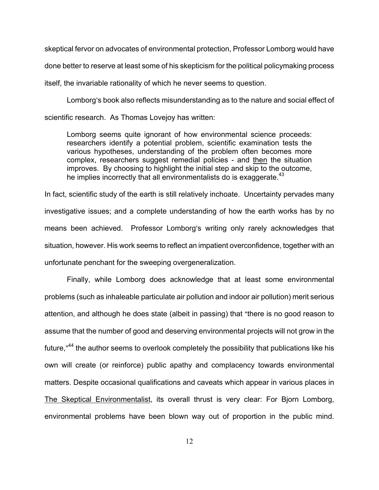skeptical fervor on advocates of environmental protection, Professor Lomborg would have done better to reserve at least some of his skepticism for the political policymaking process itself, the invariable rationality of which he never seems to question.

Lomborg's book also reflects misunderstanding as to the nature and social effect of scientific research. As Thomas Lovejoy has written:

Lomborg seems quite ignorant of how environmental science proceeds: researchers identify a potential problem, scientific examination tests the various hypotheses, understanding of the problem often becomes more complex, researchers suggest remedial policies - and then the situation improves. By choosing to highlight the initial step and skip to the outcome, he implies incorrectly that all environmentalists do is exaggerate.  $43$ 

In fact, scientific study of the earth is still relatively inchoate. Uncertainty pervades many investigative issues; and a complete understanding of how the earth works has by no means been achieved. Professor Lomborg's writing only rarely acknowledges that situation, however. His work seems to reflect an impatient overconfidence, together with an unfortunate penchant for the sweeping overgeneralization.

Finally, while Lomborg does acknowledge that at least some environmental problems (such as inhaleable particulate air pollution and indoor air pollution) merit serious attention, and although he does state (albeit in passing) that "there is no good reason to assume that the number of good and deserving environmental projects will not grow in the future,"<sup>44</sup> the author seems to overlook completely the possibility that publications like his own will create (or reinforce) public apathy and complacency towards environmental matters. Despite occasional qualifications and caveats which appear in various places in The Skeptical Environmentalist, its overall thrust is very clear: For Bjorn Lomborg, environmental problems have been blown way out of proportion in the public mind.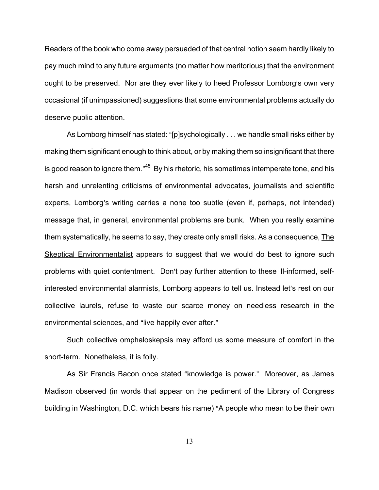Readers of the book who come away persuaded of that central notion seem hardly likely to pay much mind to any future arguments (no matter how meritorious) that the environment ought to be preserved. Nor are they ever likely to heed Professor Lomborg's own very occasional (if unimpassioned) suggestions that some environmental problems actually do deserve public attention.

As Lomborg himself has stated: "[p]sychologically . . . we handle small risks either by making them significant enough to think about, or by making them so insignificant that there is good reason to ignore them."<sup>45</sup> By his rhetoric, his sometimes intemperate tone, and his harsh and unrelenting criticisms of environmental advocates, journalists and scientific experts, Lomborg's writing carries a none too subtle (even if, perhaps, not intended) message that, in general, environmental problems are bunk. When you really examine them systematically, he seems to say, they create only small risks. As a consequence, The Skeptical Environmentalist appears to suggest that we would do best to ignore such problems with quiet contentment. Don't pay further attention to these ill-informed, selfinterested environmental alarmists, Lomborg appears to tell us. Instead let's rest on our collective laurels, refuse to waste our scarce money on needless research in the environmental sciences, and "live happily ever after."

Such collective omphaloskepsis may afford us some measure of comfort in the short-term. Nonetheless, it is folly.

As Sir Francis Bacon once stated "knowledge is power." Moreover, as James Madison observed (in words that appear on the pediment of the Library of Congress building in Washington, D.C. which bears his name) "A people who mean to be their own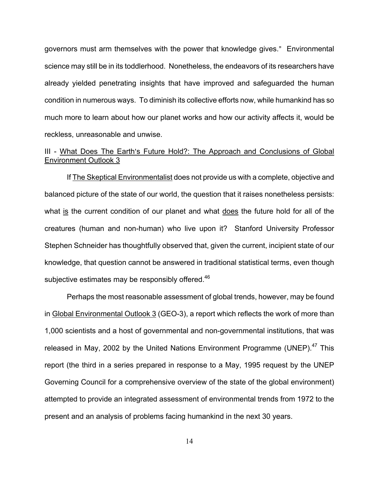governors must arm themselves with the power that knowledge gives." Environmental science may still be in its toddlerhood. Nonetheless, the endeavors of its researchers have already yielded penetrating insights that have improved and safeguarded the human condition in numerous ways. To diminish its collective efforts now, while humankind has so much more to learn about how our planet works and how our activity affects it, would be reckless, unreasonable and unwise.

# III - What Does The Earth's Future Hold?: The Approach and Conclusions of Global Environment Outlook 3

If The Skeptical Environmentalist does not provide us with a complete, objective and balanced picture of the state of our world, the question that it raises nonetheless persists: what is the current condition of our planet and what does the future hold for all of the creatures (human and non-human) who live upon it? Stanford University Professor Stephen Schneider has thoughtfully observed that, given the current, incipient state of our knowledge, that question cannot be answered in traditional statistical terms, even though subjective estimates may be responsibly offered.<sup>46</sup>

Perhaps the most reasonable assessment of global trends, however, may be found in Global Environmental Outlook 3 (GEO-3), a report which reflects the work of more than 1,000 scientists and a host of governmental and non-governmental institutions, that was released in May, 2002 by the United Nations Environment Programme (UNEP). $47$  This report (the third in a series prepared in response to a May, 1995 request by the UNEP Governing Council for a comprehensive overview of the state of the global environment) attempted to provide an integrated assessment of environmental trends from 1972 to the present and an analysis of problems facing humankind in the next 30 years.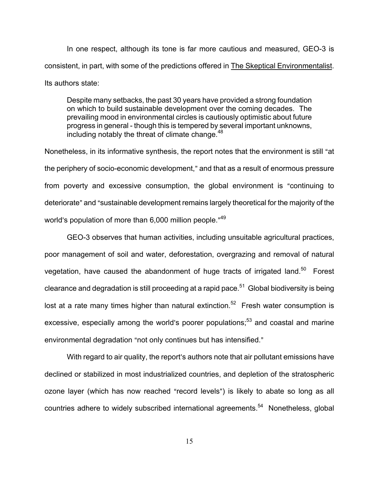In one respect, although its tone is far more cautious and measured, GEO-3 is consistent, in part, with some of the predictions offered in The Skeptical Environmentalist. Its authors state:

Despite many setbacks, the past 30 years have provided a strong foundation on which to build sustainable development over the coming decades. The prevailing mood in environmental circles is cautiously optimistic about future progress in general - though this is tempered by several important unknowns, including notably the threat of climate change.<sup>48</sup>

Nonetheless, in its informative synthesis, the report notes that the environment is still "at the periphery of socio-economic development," and that as a result of enormous pressure from poverty and excessive consumption, the global environment is "continuing to deteriorate" and "sustainable development remains largely theoretical for the majority of the world's population of more than 6,000 million people."<sup>49</sup>

GEO-3 observes that human activities, including unsuitable agricultural practices, poor management of soil and water, deforestation, overgrazing and removal of natural vegetation, have caused the abandonment of huge tracts of irrigated land.<sup>50</sup> Forest clearance and degradation is still proceeding at a rapid pace.<sup>51</sup> Global biodiversity is being lost at a rate many times higher than natural extinction.<sup>52</sup> Fresh water consumption is excessive, especially among the world's poorer populations; $53$  and coastal and marine environmental degradation "not only continues but has intensified."

With regard to air quality, the report's authors note that air pollutant emissions have declined or stabilized in most industrialized countries, and depletion of the stratospheric ozone layer (which has now reached "record levels") is likely to abate so long as all countries adhere to widely subscribed international agreements.<sup>54</sup> Nonetheless, global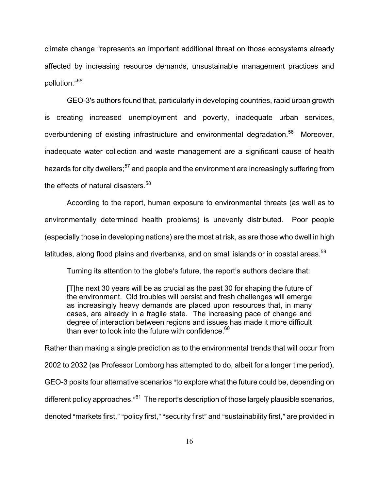climate change "represents an important additional threat on those ecosystems already affected by increasing resource demands, unsustainable management practices and pollution."<sup>55</sup>

GEO-3's authors found that, particularly in developing countries, rapid urban growth is creating increased unemployment and poverty, inadequate urban services, overburdening of existing infrastructure and environmental degradation.<sup>56</sup> Moreover, inadequate water collection and waste management are a significant cause of health hazards for city dwellers;<sup>57</sup> and people and the environment are increasingly suffering from the effects of natural disasters.<sup>58</sup>

According to the report, human exposure to environmental threats (as well as to environmentally determined health problems) is unevenly distributed. Poor people (especially those in developing nations) are the most at risk, as are those who dwell in high latitudes, along flood plains and riverbanks, and on small islands or in coastal areas.<sup>59</sup>

Turning its attention to the globe's future, the report's authors declare that:

[T]he next 30 years will be as crucial as the past 30 for shaping the future of the environment. Old troubles will persist and fresh challenges will emerge as increasingly heavy demands are placed upon resources that, in many cases, are already in a fragile state. The increasing pace of change and degree of interaction between regions and issues has made it more difficult than ever to look into the future with confidence. $60$ 

Rather than making a single prediction as to the environmental trends that will occur from 2002 to 2032 (as Professor Lomborg has attempted to do, albeit for a longer time period), GEO-3 posits four alternative scenarios "to explore what the future could be, depending on different policy approaches."<sup>61</sup> The report's description of those largely plausible scenarios, denoted "markets first," "policy first," "security first" and "sustainability first," are provided in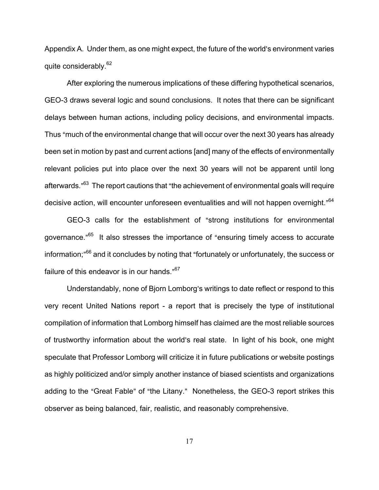Appendix A. Under them, as one might expect, the future of the world's environment varies quite considerably.<sup>62</sup>

After exploring the numerous implications of these differing hypothetical scenarios, GEO-3 draws several logic and sound conclusions. It notes that there can be significant delays between human actions, including policy decisions, and environmental impacts. Thus "much of the environmental change that will occur over the next 30 years has already been set in motion by past and current actions [and] many of the effects of environmentally relevant policies put into place over the next 30 years will not be apparent until long afterwards."<sup>63</sup> The report cautions that "the achievement of environmental goals will require decisive action, will encounter unforeseen eventualities and will not happen overnight."<sup>64</sup>

GEO-3 calls for the establishment of "strong institutions for environmental governance.<sup>"65</sup> It also stresses the importance of "ensuring timely access to accurate information;"<sup>66</sup> and it concludes by noting that "fortunately or unfortunately, the success or failure of this endeavor is in our hands." $67$ 

Understandably, none of Bjorn Lomborg's writings to date reflect or respond to this very recent United Nations report - a report that is precisely the type of institutional compilation of information that Lomborg himself has claimed are the most reliable sources of trustworthy information about the world's real state. In light of his book, one might speculate that Professor Lomborg will criticize it in future publications or website postings as highly politicized and/or simply another instance of biased scientists and organizations adding to the "Great Fable" of "the Litany." Nonetheless, the GEO-3 report strikes this observer as being balanced, fair, realistic, and reasonably comprehensive.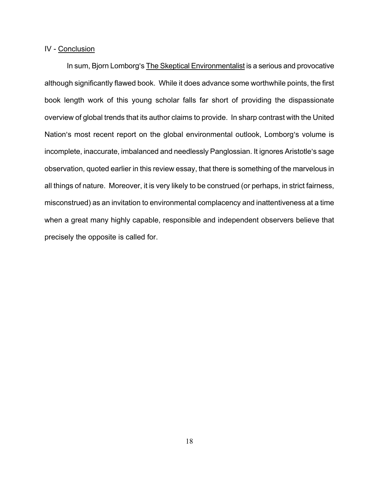## IV - Conclusion

In sum, Bjorn Lomborg's The Skeptical Environmentalist is a serious and provocative although significantly flawed book. While it does advance some worthwhile points, the first book length work of this young scholar falls far short of providing the dispassionate overview of global trends that its author claims to provide. In sharp contrast with the United Nation's most recent report on the global environmental outlook, Lomborg's volume is incomplete, inaccurate, imbalanced and needlessly Panglossian. It ignores Aristotle's sage observation, quoted earlier in this review essay, that there is something of the marvelous in all things of nature. Moreover, it is very likely to be construed (or perhaps, in strict fairness, misconstrued) as an invitation to environmental complacency and inattentiveness at a time when a great many highly capable, responsible and independent observers believe that precisely the opposite is called for.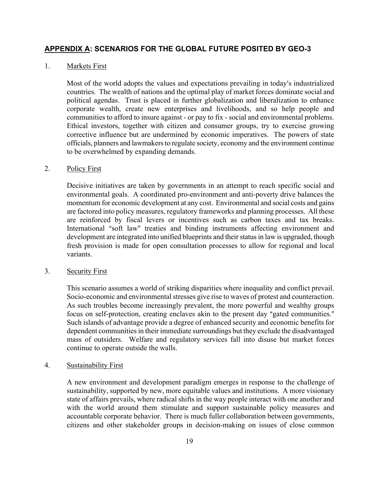## **APPENDIX A: SCENARIOS FOR THE GLOBAL FUTURE POSITED BY GEO-3**

### 1. Markets First

Most of the world adopts the values and expectations prevailing in today's industrialized countries. The wealth of nations and the optimal play of market forces dominate social and political agendas. Trust is placed in further globalization and liberalization to enhance corporate wealth, create new enterprises and livelihoods, and so help people and communities to afford to insure against - or pay to fix - social and environmental problems. Ethical investors, together with citizen and consumer groups, try to exercise growing corrective influence but are undermined by economic imperatives. The powers of state officials, planners and lawmakers to regulate society, economy and the environment continue to be overwhelmed by expanding demands.

#### 2. Policy First

Decisive initiatives are taken by governments in an attempt to reach specific social and environmental goals. A coordinated pro-environment and anti-poverty drive balances the momentum for economic development at any cost. Environmental and social costs and gains are factored into policy measures, regulatory frameworks and planning processes. All these are reinforced by fiscal levers or incentives such as carbon taxes and tax breaks. International "soft law" treaties and binding instruments affecting environment and development are integrated into unified blueprints and their status in law is upgraded, though fresh provision is made for open consultation processes to allow for regional and local variants.

### 3. Security First

This scenario assumes a world of striking disparities where inequality and conflict prevail. Socio-economic and environmental stresses give rise to waves of protest and counteraction. As such troubles become increasingly prevalent, the more powerful and wealthy groups focus on self-protection, creating enclaves akin to the present day "gated communities." Such islands of advantage provide a degree of enhanced security and economic benefits for dependent communities in their immediate surroundings but they exclude the disadvantaged mass of outsiders. Welfare and regulatory services fall into disuse but market forces continue to operate outside the walls.

### 4. Sustainability First

A new environment and development paradigm emerges in response to the challenge of sustainability, supported by new, more equitable values and institutions. A more visionary state of affairs prevails, where radical shifts in the way people interact with one another and with the world around them stimulate and support sustainable policy measures and accountable corporate behavior. There is much fuller collaboration between governments, citizens and other stakeholder groups in decision-making on issues of close common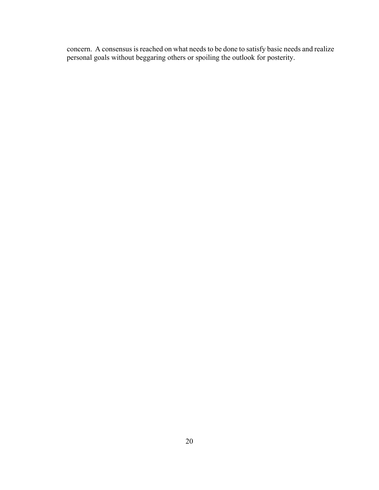concern. A consensus is reached on what needs to be done to satisfy basic needs and realize personal goals without beggaring others or spoiling the outlook for posterity.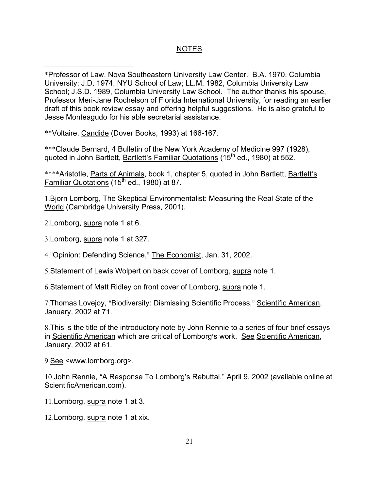## NOTES

\*Professor of Law, Nova Southeastern University Law Center. B.A. 1970, Columbia University; J.D. 1974, NYU School of Law; LL.M. 1982, Columbia University Law School; J.S.D. 1989, Columbia University Law School. The author thanks his spouse, Professor Meri-Jane Rochelson of Florida International University, for reading an earlier draft of this book review essay and offering helpful suggestions. He is also grateful to Jesse Monteagudo for his able secretarial assistance.

\*\*Voltaire, Candide (Dover Books, 1993) at 166-167.

\*\*\*Claude Bernard, 4 Bulletin of the New York Academy of Medicine 997 (1928), quoted in John Bartlett, Bartlett's Familiar Quotations (15<sup>th</sup> ed., 1980) at 552.

\*\*\*\*Aristotle, Parts of Animals, book 1, chapter 5, quoted in John Bartlett, Bartlett's Familiar Quotations (15<sup>th</sup> ed., 1980) at 87.

1.Bjorn Lomborg, The Skeptical Environmentalist: Measuring the Real State of the World (Cambridge University Press, 2001).

2.Lomborg, supra note 1 at 6.

3.Lomborg, supra note 1 at 327.

4."Opinion: Defending Science," The Economist, Jan. 31, 2002.

5.Statement of Lewis Wolpert on back cover of Lomborg, supra note 1.

6.Statement of Matt Ridley on front cover of Lomborg, supra note 1.

7. Thomas Lovejoy, "Biodiversity: Dismissing Scientific Process," Scientific American, January, 2002 at 71.

8.This is the title of the introductory note by John Rennie to a series of four brief essays in Scientific American which are critical of Lomborg's work. See Scientific American, January, 2002 at 61.

9.See <www.lomborg.org>.

10. John Rennie, "A Response To Lomborg's Rebuttal," April 9, 2002 (available online at ScientificAmerican.com).

- 11.Lomborg, supra note 1 at 3.
- 12.Lomborg, supra note 1 at xix.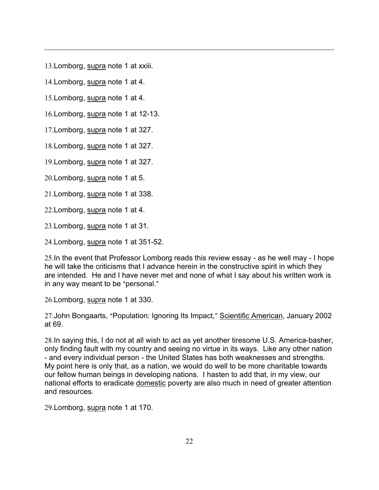13.Lomborg, supra note 1 at xxiii.

14.Lomborg, supra note 1 at 4.

15.Lomborg, supra note 1 at 4.

16.Lomborg, supra note 1 at 12-13.

17.Lomborg, supra note 1 at 327.

18.Lomborg, supra note 1 at 327.

19.Lomborg, supra note 1 at 327.

20.Lomborg, supra note 1 at 5.

21.Lomborg, supra note 1 at 338.

22.Lomborg, supra note 1 at 4.

23.Lomborg, supra note 1 at 31.

24.Lomborg, supra note 1 at 351-52.

25.In the event that Professor Lomborg reads this review essay - as he well may - I hope he will take the criticisms that I advance herein in the constructive spirit in which they are intended. He and I have never met and none of what I say about his written work is in any way meant to be "personal."

26.Lomborg, supra note 1 at 330.

27. John Bongaarts, "Population: Ignoring Its Impact," Scientific American, January 2002 at 69.

28.In saying this, I do not at all wish to act as yet another tiresome U.S. America-basher, only finding fault with my country and seeing no virtue in its ways. Like any other nation - and every individual person - the United States has both weaknesses and strengths. My point here is only that, as a nation, we would do well to be more charitable towards our fellow human beings in developing nations. I hasten to add that, in my view, our national efforts to eradicate domestic poverty are also much in need of greater attention and resources.

29.Lomborg, supra note 1 at 170.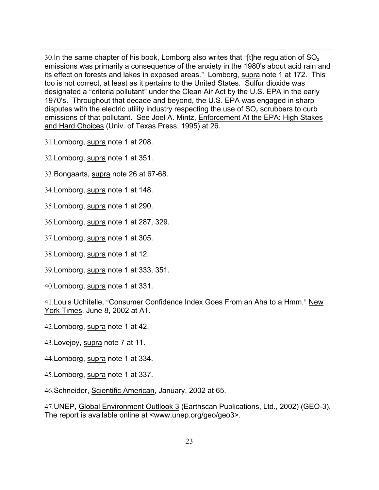30.In the same chapter of his book, Lomborg also writes that "[t]he regulation of  $SO<sub>2</sub>$ emissions was primarily a consequence of the anxiety in the 1980's about acid rain and its effect on forests and lakes in exposed areas." Lomborg, supra note 1 at 172. This too is not correct, at least as it pertains to the United States. Sulfur dioxide was designated a "criteria pollutant" under the Clean Air Act by the U.S. EPA in the early 1970's. Throughout that decade and beyond, the U.S. EPA was engaged in sharp disputes with the electric utility industry respecting the use of  $SO<sub>2</sub>$  scrubbers to curb emissions of that pollutant. See Joel A. Mintz, Enforcement At the EPA: High Stakes and Hard Choices (Univ. of Texas Press, 1995) at 26.

31.Lomborg, supra note 1 at 208.

32.Lomborg, supra note 1 at 351.

33.Bongaarts, supra note 26 at 67-68.

34.Lomborg, supra note 1 at 148.

35.Lomborg, supra note 1 at 290.

36.Lomborg, supra note 1 at 287, 329.

37.Lomborg, supra note 1 at 305.

38.Lomborg, supra note 1 at 12.

39.Lomborg, supra note 1 at 333, 351.

40.Lomborg, supra note 1 at 331.

41. Louis Uchitelle, "Consumer Confidence Index Goes From an Aha to a Hmm," New York Times, June 8, 2002 at A1.

42.Lomborg, supra note 1 at 42.

43.Lovejoy, supra note 7 at 11.

44.Lomborg, supra note 1 at 334.

45.Lomborg, supra note 1 at 337.

46.Schneider, Scientific American, January, 2002 at 65.

47.UNEP, Global Environment Outllook 3 (Earthscan Publications, Ltd., 2002) (GEO-3). The report is available online at <www.unep.org/geo/geo3>.